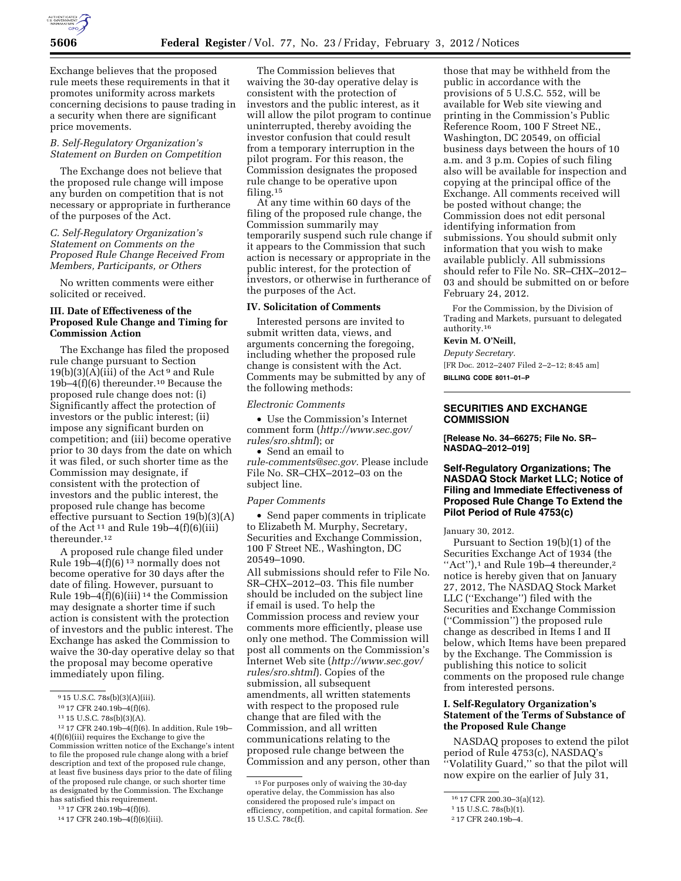

Exchange believes that the proposed rule meets these requirements in that it promotes uniformity across markets concerning decisions to pause trading in a security when there are significant price movements.

# *B. Self-Regulatory Organization's Statement on Burden on Competition*

The Exchange does not believe that the proposed rule change will impose any burden on competition that is not necessary or appropriate in furtherance of the purposes of the Act.

## *C. Self-Regulatory Organization's Statement on Comments on the Proposed Rule Change Received From Members, Participants, or Others*

No written comments were either solicited or received.

### **III. Date of Effectiveness of the Proposed Rule Change and Timing for Commission Action**

The Exchange has filed the proposed rule change pursuant to Section  $19(b)(3)(A)(iii)$  of the Act<sup>9</sup> and Rule 19b–4(f)(6) thereunder.10 Because the proposed rule change does not: (i) Significantly affect the protection of investors or the public interest; (ii) impose any significant burden on competition; and (iii) become operative prior to 30 days from the date on which it was filed, or such shorter time as the Commission may designate, if consistent with the protection of investors and the public interest, the proposed rule change has become effective pursuant to Section 19(b)(3)(A) of the Act<sup>11</sup> and Rule  $19b-4(f)(6)(iii)$ thereunder.12

A proposed rule change filed under Rule  $19b-4(f)(6)^{13}$  normally does not become operative for 30 days after the date of filing. However, pursuant to Rule 19b–4(f)(6)(iii) 14 the Commission may designate a shorter time if such action is consistent with the protection of investors and the public interest. The Exchange has asked the Commission to waive the 30-day operative delay so that the proposal may become operative immediately upon filing.

The Commission believes that waiving the 30-day operative delay is consistent with the protection of investors and the public interest, as it will allow the pilot program to continue uninterrupted, thereby avoiding the investor confusion that could result from a temporary interruption in the pilot program. For this reason, the Commission designates the proposed rule change to be operative upon filing.15

At any time within 60 days of the filing of the proposed rule change, the Commission summarily may temporarily suspend such rule change if it appears to the Commission that such action is necessary or appropriate in the public interest, for the protection of investors, or otherwise in furtherance of the purposes of the Act.

### **IV. Solicitation of Comments**

Interested persons are invited to submit written data, views, and arguments concerning the foregoing, including whether the proposed rule change is consistent with the Act. Comments may be submitted by any of the following methods:

#### *Electronic Comments*

• Use the Commission's Internet comment form (*[http://www.sec.gov/](http://www.sec.gov/rules/sro.shtml)  [rules/sro.shtml](http://www.sec.gov/rules/sro.shtml)*); or

• Send an email to *[rule-comments@sec.gov.](mailto:rule-comments@sec.gov)* Please include File No. SR–CHX–2012–03 on the subject line.

#### *Paper Comments*

• Send paper comments in triplicate to Elizabeth M. Murphy, Secretary, Securities and Exchange Commission, 100 F Street NE., Washington, DC 20549–1090.

All submissions should refer to File No. SR–CHX–2012–03. This file number should be included on the subject line if email is used. To help the Commission process and review your comments more efficiently, please use only one method. The Commission will post all comments on the Commission's Internet Web site (*[http://www.sec.gov/](http://www.sec.gov/rules/sro.shtml)  [rules/sro.shtml](http://www.sec.gov/rules/sro.shtml)*). Copies of the submission, all subsequent amendments, all written statements with respect to the proposed rule change that are filed with the Commission, and all written communications relating to the proposed rule change between the Commission and any person, other than

those that may be withheld from the public in accordance with the provisions of 5 U.S.C. 552, will be available for Web site viewing and printing in the Commission's Public Reference Room, 100 F Street NE., Washington, DC 20549, on official business days between the hours of 10 a.m. and 3 p.m. Copies of such filing also will be available for inspection and copying at the principal office of the Exchange. All comments received will be posted without change; the Commission does not edit personal identifying information from submissions. You should submit only information that you wish to make available publicly. All submissions should refer to File No. SR–CHX–2012– 03 and should be submitted on or before February 24, 2012.

For the Commission, by the Division of Trading and Markets, pursuant to delegated authority.<sup>16</sup>

## **Kevin M. O'Neill,**

*Deputy Secretary.*  [FR Doc. 2012–2407 Filed 2–2–12; 8:45 am] **BILLING CODE 8011–01–P** 

## **SECURITIES AND EXCHANGE COMMISSION**

**[Release No. 34–66275; File No. SR– NASDAQ–2012–019]** 

## **Self-Regulatory Organizations; The NASDAQ Stock Market LLC; Notice of Filing and Immediate Effectiveness of Proposed Rule Change To Extend the Pilot Period of Rule 4753(c)**

January 30, 2012.

Pursuant to Section 19(b)(1) of the Securities Exchange Act of 1934 (the "Act"), $1$  and Rule 19b-4 thereunder, $2$ notice is hereby given that on January 27, 2012, The NASDAQ Stock Market LLC (''Exchange'') filed with the Securities and Exchange Commission (''Commission'') the proposed rule change as described in Items I and II below, which Items have been prepared by the Exchange. The Commission is publishing this notice to solicit comments on the proposed rule change from interested persons.

# **I. Self-Regulatory Organization's Statement of the Terms of Substance of the Proposed Rule Change**

NASDAQ proposes to extend the pilot period of Rule 4753(c), NASDAQ's ''Volatility Guard,'' so that the pilot will now expire on the earlier of July 31,

<sup>9</sup> 15 U.S.C. 78s(b)(3)(A)(iii).

<sup>10</sup> 17 CFR 240.19b–4(f)(6).

<sup>11</sup> 15 U.S.C. 78s(b)(3)(A).

<sup>12</sup> 17 CFR 240.19b–4(f)(6). In addition, Rule 19b– 4(f)(6)(iii) requires the Exchange to give the Commission written notice of the Exchange's intent to file the proposed rule change along with a brief description and text of the proposed rule change, at least five business days prior to the date of filing of the proposed rule change, or such shorter time as designated by the Commission. The Exchange has satisfied this requirement.

<sup>13</sup> 17 CFR 240.19b–4(f)(6).

<sup>14</sup> 17 CFR 240.19b–4(f)(6)(iii).

<sup>15</sup>For purposes only of waiving the 30-day operative delay, the Commission has also considered the proposed rule's impact on efficiency, competition, and capital formation. *See*  15 U.S.C. 78c(f).

<sup>16</sup> 17 CFR 200.30–3(a)(12).

<sup>1</sup> 15 U.S.C. 78s(b)(1).

<sup>2</sup> 17 CFR 240.19b–4.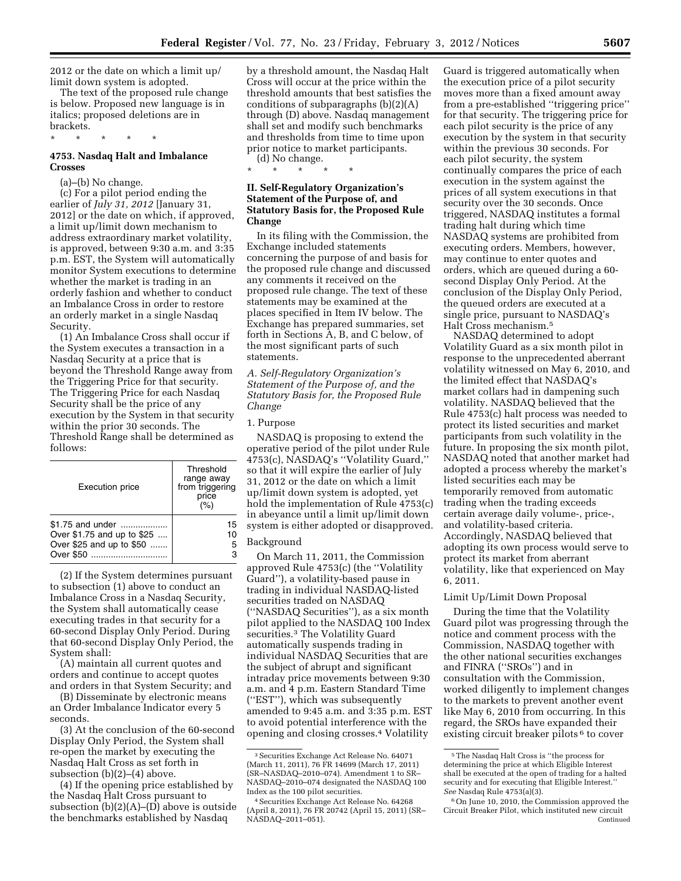2012 or the date on which a limit up/ limit down system is adopted.

The text of the proposed rule change is below. Proposed new language is in italics; proposed deletions are in brackets.

\* \* \* \* \*

# **4753. Nasdaq Halt and Imbalance Crosses**

(a)–(b) No change.

(c) For a pilot period ending the earlier of *July 31, 2012* [January 31, 2012] or the date on which, if approved, a limit up/limit down mechanism to address extraordinary market volatility, is approved, between 9:30 a.m. and 3:35 p.m. EST, the System will automatically monitor System executions to determine whether the market is trading in an orderly fashion and whether to conduct an Imbalance Cross in order to restore an orderly market in a single Nasdaq Security.

(1) An Imbalance Cross shall occur if the System executes a transaction in a Nasdaq Security at a price that is beyond the Threshold Range away from the Triggering Price for that security. The Triggering Price for each Nasdaq Security shall be the price of any execution by the System in that security within the prior 30 seconds. The Threshold Range shall be determined as follows:

| <b>Execution price</b>                                                                  | Threshold<br>range away<br>from triggering<br>price<br>(%) |
|-----------------------------------------------------------------------------------------|------------------------------------------------------------|
| \$1.75 and under<br>Over \$1.75 and up to \$25<br>Over \$25 and up to \$50<br>Over \$50 | 15<br>10<br>5<br>з                                         |

(2) If the System determines pursuant to subsection (1) above to conduct an Imbalance Cross in a Nasdaq Security, the System shall automatically cease executing trades in that security for a 60-second Display Only Period. During that 60-second Display Only Period, the System shall:

(A) maintain all current quotes and orders and continue to accept quotes and orders in that System Security; and

(B) Disseminate by electronic means an Order Imbalance Indicator every 5 seconds.

(3) At the conclusion of the 60-second Display Only Period, the System shall re-open the market by executing the Nasdaq Halt Cross as set forth in subsection (b)(2)–(4) above.

(4) If the opening price established by the Nasdaq Halt Cross pursuant to subsection  $(b)(2)(A)$ – $(D)$  above is outside the benchmarks established by Nasdaq

by a threshold amount, the Nasdaq Halt Cross will occur at the price within the threshold amounts that best satisfies the conditions of subparagraphs (b)(2)(A) through (D) above. Nasdaq management shall set and modify such benchmarks and thresholds from time to time upon prior notice to market participants. (d) No change.

\* \* \* \* \*

# **II. Self-Regulatory Organization's Statement of the Purpose of, and Statutory Basis for, the Proposed Rule Change**

In its filing with the Commission, the Exchange included statements concerning the purpose of and basis for the proposed rule change and discussed any comments it received on the proposed rule change. The text of these statements may be examined at the places specified in Item IV below. The Exchange has prepared summaries, set forth in Sections A, B, and C below, of the most significant parts of such statements.

*A. Self-Regulatory Organization's Statement of the Purpose of, and the Statutory Basis for, the Proposed Rule Change* 

### 1. Purpose

NASDAQ is proposing to extend the operative period of the pilot under Rule 4753(c), NASDAQ's ''Volatility Guard,'' so that it will expire the earlier of July 31, 2012 or the date on which a limit up/limit down system is adopted, yet hold the implementation of Rule 4753(c) in abeyance until a limit up/limit down system is either adopted or disapproved.

### Background

On March 11, 2011, the Commission approved Rule 4753(c) (the ''Volatility Guard''), a volatility-based pause in trading in individual NASDAQ-listed securities traded on NASDAQ (''NASDAQ Securities''), as a six month pilot applied to the NASDAQ 100 Index securities.3 The Volatility Guard automatically suspends trading in individual NASDAQ Securities that are the subject of abrupt and significant intraday price movements between 9:30 a.m. and 4 p.m. Eastern Standard Time (''EST''), which was subsequently amended to 9:45 a.m. and 3:35 p.m. EST to avoid potential interference with the opening and closing crosses.4 Volatility

Guard is triggered automatically when the execution price of a pilot security moves more than a fixed amount away from a pre-established ''triggering price'' for that security. The triggering price for each pilot security is the price of any execution by the system in that security within the previous 30 seconds. For each pilot security, the system continually compares the price of each execution in the system against the prices of all system executions in that security over the 30 seconds. Once triggered, NASDAQ institutes a formal trading halt during which time NASDAQ systems are prohibited from executing orders. Members, however, may continue to enter quotes and orders, which are queued during a 60 second Display Only Period. At the conclusion of the Display Only Period, the queued orders are executed at a single price, pursuant to NASDAQ's Halt Cross mechanism.5

NASDAQ determined to adopt Volatility Guard as a six month pilot in response to the unprecedented aberrant volatility witnessed on May 6, 2010, and the limited effect that NASDAQ's market collars had in dampening such volatility. NASDAQ believed that the Rule 4753(c) halt process was needed to protect its listed securities and market participants from such volatility in the future. In proposing the six month pilot, NASDAQ noted that another market had adopted a process whereby the market's listed securities each may be temporarily removed from automatic trading when the trading exceeds certain average daily volume-, price-, and volatility-based criteria. Accordingly, NASDAQ believed that adopting its own process would serve to protect its market from aberrant volatility, like that experienced on May 6, 2011.

### Limit Up/Limit Down Proposal

During the time that the Volatility Guard pilot was progressing through the notice and comment process with the Commission, NASDAQ together with the other national securities exchanges and FINRA (''SROs'') and in consultation with the Commission, worked diligently to implement changes to the markets to prevent another event like May 6, 2010 from occurring. In this regard, the SROs have expanded their existing circuit breaker pilots <sup>6</sup> to cover

<sup>3</sup>Securities Exchange Act Release No. 64071 (March 11, 2011), 76 FR 14699 (March 17, 2011) (SR–NASDAQ–2010–074). Amendment 1 to SR– NASDAQ–2010–074 designated the NASDAQ 100 Index as the 100 pilot securities.

<sup>4</sup>Securities Exchange Act Release No. 64268 (April 8, 2011), 76 FR 20742 (April 15, 2011) (SR– NASDAQ–2011–051).

<sup>5</sup>The Nasdaq Halt Cross is ''the process for determining the price at which Eligible Interest shall be executed at the open of trading for a halted security and for executing that Eligible Interest.'' *See* Nasdaq Rule 4753(a)(3).

<sup>6</sup>On June 10, 2010, the Commission approved the Circuit Breaker Pilot, which instituted new circuit Continued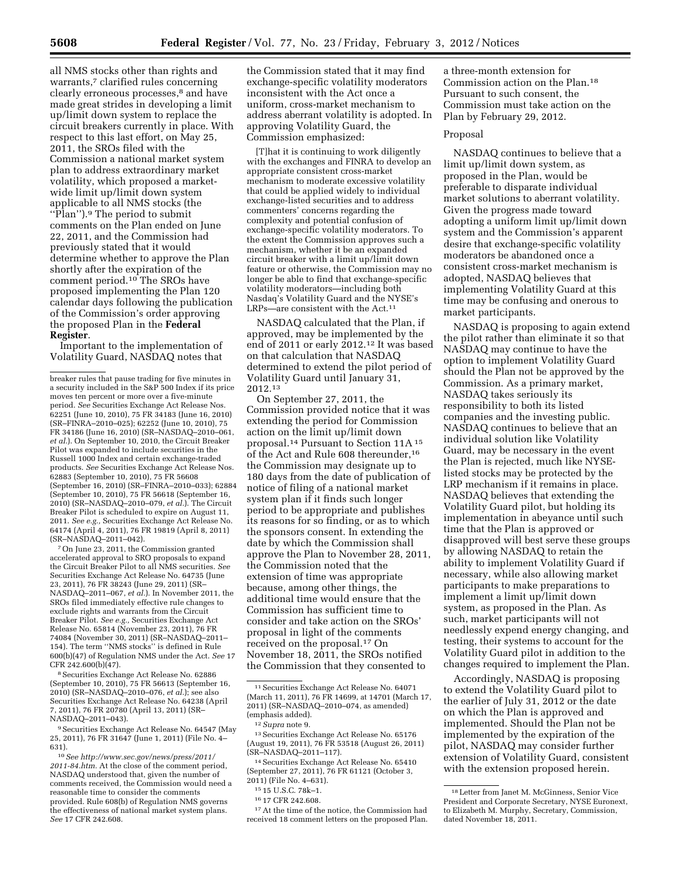all NMS stocks other than rights and warrants,<sup>7</sup> clarified rules concerning clearly erroneous processes,8 and have made great strides in developing a limit up/limit down system to replace the circuit breakers currently in place. With respect to this last effort, on May 25, 2011, the SROs filed with the Commission a national market system plan to address extraordinary market volatility, which proposed a marketwide limit up/limit down system applicable to all NMS stocks (the ''Plan'').9 The period to submit comments on the Plan ended on June 22, 2011, and the Commission had previously stated that it would determine whether to approve the Plan shortly after the expiration of the comment period.10 The SROs have proposed implementing the Plan 120 calendar days following the publication of the Commission's order approving the proposed Plan in the **Federal Register**.

Important to the implementation of Volatility Guard, NASDAQ notes that

7On June 23, 2011, the Commission granted accelerated approval to SRO proposals to expand the Circuit Breaker Pilot to all NMS securities. *See*  Securities Exchange Act Release No. 64735 (June 23, 2011), 76 FR 38243 (June 29, 2011) (SR– NASDAQ–2011–067, *et al.*). In November 2011, the SROs filed immediately effective rule changes to exclude rights and warrants from the Circuit Breaker Pilot. *See e.g.,* Securities Exchange Act Release No. 65814 (November 23, 2011), 76 FR 74084 (November 30, 2011) (SR–NASDAQ–2011– 154). The term ''NMS stocks'' is defined in Rule 600(b)(47) of Regulation NMS under the Act. *See* 17 CFR 242.600(b)(47).

8Securities Exchange Act Release No. 62886 (September 10, 2010), 75 FR 56613 (September 16, 2010) (SR–NASDAQ–2010–076, *et al.*); see also Securities Exchange Act Release No. 64238 (April 7, 2011), 76 FR 20780 (April 13, 2011) (SR– NASDAQ–2011–043).

9Securities Exchange Act Release No. 64547 (May 25, 2011), 76 FR 31647 (June 1, 2011) (File No. 4– 631).

10*See [http://www.sec.gov/news/press/2011/](http://www.sec.gov/news/press/2011/2011-84.htm) [2011-84.htm.](http://www.sec.gov/news/press/2011/2011-84.htm)* At the close of the comment period, NASDAQ understood that, given the number of comments received, the Commission would need a reasonable time to consider the comments provided. Rule 608(b) of Regulation NMS governs the effectiveness of national market system plans. *See* 17 CFR 242.608.

the Commission stated that it may find exchange-specific volatility moderators inconsistent with the Act once a uniform, cross-market mechanism to address aberrant volatility is adopted. In approving Volatility Guard, the Commission emphasized:

[T]hat it is continuing to work diligently with the exchanges and FINRA to develop an appropriate consistent cross-market mechanism to moderate excessive volatility that could be applied widely to individual exchange-listed securities and to address commenters' concerns regarding the complexity and potential confusion of exchange-specific volatility moderators. To the extent the Commission approves such a mechanism, whether it be an expanded circuit breaker with a limit up/limit down feature or otherwise, the Commission may no longer be able to find that exchange-specific volatility moderators—including both Nasdaq's Volatility Guard and the NYSE's LRPs—are consistent with the Act.<sup>11</sup>

NASDAQ calculated that the Plan, if approved, may be implemented by the end of 2011 or early 2012.12 It was based on that calculation that NASDAQ determined to extend the pilot period of Volatility Guard until January 31, 2012.13

On September 27, 2011, the Commission provided notice that it was extending the period for Commission action on the limit up/limit down proposal.14 Pursuant to Section 11A 15 of the Act and Rule 608 thereunder,16 the Commission may designate up to 180 days from the date of publication of notice of filing of a national market system plan if it finds such longer period to be appropriate and publishes its reasons for so finding, or as to which the sponsors consent. In extending the date by which the Commission shall approve the Plan to November 28, 2011, the Commission noted that the extension of time was appropriate because, among other things, the additional time would ensure that the Commission has sufficient time to consider and take action on the SROs' proposal in light of the comments received on the proposal.17 On November 18, 2011, the SROs notified the Commission that they consented to

14Securities Exchange Act Release No. 65410 (September 27, 2011), 76 FR 61121 (October 3, 2011) (File No. 4–631).

17At the time of the notice, the Commission had received 18 comment letters on the proposed Plan.

a three-month extension for Commission action on the Plan.18 Pursuant to such consent, the Commission must take action on the Plan by February 29, 2012.

## Proposal

NASDAQ continues to believe that a limit up/limit down system, as proposed in the Plan, would be preferable to disparate individual market solutions to aberrant volatility. Given the progress made toward adopting a uniform limit up/limit down system and the Commission's apparent desire that exchange-specific volatility moderators be abandoned once a consistent cross-market mechanism is adopted, NASDAQ believes that implementing Volatility Guard at this time may be confusing and onerous to market participants.

NASDAQ is proposing to again extend the pilot rather than eliminate it so that NASDAQ may continue to have the option to implement Volatility Guard should the Plan not be approved by the Commission. As a primary market, NASDAQ takes seriously its responsibility to both its listed companies and the investing public. NASDAQ continues to believe that an individual solution like Volatility Guard, may be necessary in the event the Plan is rejected, much like NYSElisted stocks may be protected by the LRP mechanism if it remains in place. NASDAQ believes that extending the Volatility Guard pilot, but holding its implementation in abeyance until such time that the Plan is approved or disapproved will best serve these groups by allowing NASDAQ to retain the ability to implement Volatility Guard if necessary, while also allowing market participants to make preparations to implement a limit up/limit down system, as proposed in the Plan. As such, market participants will not needlessly expend energy changing, and testing, their systems to account for the Volatility Guard pilot in addition to the changes required to implement the Plan.

Accordingly, NASDAQ is proposing to extend the Volatility Guard pilot to the earlier of July 31, 2012 or the date on which the Plan is approved and implemented. Should the Plan not be implemented by the expiration of the pilot, NASDAQ may consider further extension of Volatility Guard, consistent with the extension proposed herein.

breaker rules that pause trading for five minutes in a security included in the S&P 500 Index if its price moves ten percent or more over a five-minute period. *See* Securities Exchange Act Release Nos. 62251 (June 10, 2010), 75 FR 34183 (June 16, 2010) (SR–FINRA–2010–025); 62252 (June 10, 2010), 75 FR 34186 (June 16, 2010) (SR–NASDAQ–2010–061, *et al.*). On September 10, 2010, the Circuit Breaker Pilot was expanded to include securities in the Russell 1000 Index and certain exchange-traded products. *See* Securities Exchange Act Release Nos. 62883 (September 10, 2010), 75 FR 56608 (September 16, 2010) (SR–FINRA–2010–033); 62884 (September 10, 2010), 75 FR 56618 (September 16, 2010) (SR–NASDAQ–2010–079, *et al.*). The Circuit Breaker Pilot is scheduled to expire on August 11, 2011. *See e.g.,* Securities Exchange Act Release No. 64174 (April 4, 2011), 76 FR 19819 (April 8, 2011) (SR–NASDAQ–2011–042).

<sup>11</sup>Securities Exchange Act Release No. 64071 (March 11, 2011), 76 FR 14699, at 14701 (March 17, 2011) (SR–NASDAQ–2010–074, as amended) (emphasis added).

<sup>12</sup>*Supra* note 9.

<sup>13</sup>Securities Exchange Act Release No. 65176 (August 19, 2011), 76 FR 53518 (August 26, 2011) (SR–NASDAQ–2011–117).

<sup>15</sup> 15 U.S.C. 78k–1.

<sup>16</sup> 17 CFR 242.608.

<sup>18</sup>Letter from Janet M. McGinness, Senior Vice President and Corporate Secretary, NYSE Euronext, to Elizabeth M. Murphy, Secretary, Commission, dated November 18, 2011.